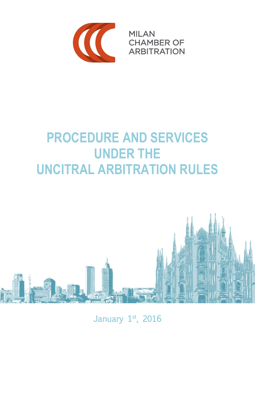

**MILAN CHAMBER OF ARBITRATION** 

# **PROCEDURE AND SERVICES UNDER THE UNCITRAL ARBITRATION RULES**



January 1st, 2016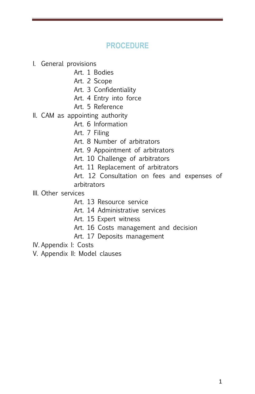# **PROCEDURE**

- I. General provisions
	- Art. 1 Bodies
	- Art. 2 Scope
	- Art. 3 Confidentiality
	- Art. 4 Entry into force
	- Art. 5 Reference
- II. CAM as appointing authority
	- Art. 6 Information
	- Art. 7 Filing
	- Art. 8 Number of arbitrators
	- Art. 9 Appointment of arbitrators
	- Art. 10 Challenge of arbitrators
	- Art. 11 Replacement of arbitrators
	- Art. 12 Consultation on fees and expenses of arbitrators
- III. Other services
	- Art. 13 Resource service
	- Art. 14 Administrative services
	- Art. 15 Expert witness
	- Art. 16 Costs management and decision
	- Art. 17 Deposits management

IV. Appendix I: Costs

V. Appendix II: Model clauses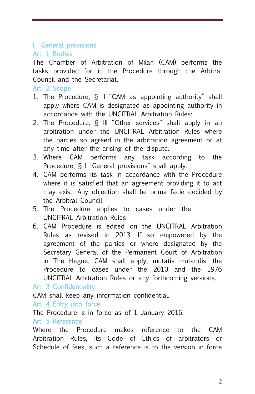# I. General provisions

# Art. 1 Bodies

The Chamber of Arbitration of Milan (CAM) performs the tasks provided for in the Procedure through the Arbitral Council and the Secretariat.

Art. 2 Scope

- 1. The Procedure, § II "CAM as appointing authority" shall apply where CAM is designated as appointing authority in accordance with the UNCITRAL Arbitration Rules;
- 2. The Procedure, § III "Other services" shall apply in an arbitration under the UNCITRAL Arbitration Rules where the parties so agreed in the arbitration agreement or at any time after the arising of the dispute.
- 3. Where CAM performs any task according to the Procedure, § I "General provisions" shall apply.
- 4. CAM performs its task in accordance with the Procedure where it is satisfied that an agreement providing it to act may exist. Any objection shall be prima facie decided by the Arbitral Council
- 5. The Procedure applies to cases under the UNCITRAL Arbitration Rules<sup>1</sup>
- 6. CAM Procedure is edited on the UNCITRAL Arbitration Rules as revised in 2013. If so empowered by the agreement of the parties or where designated by the Secretary General of the Permanent Court of Arbitration in The Hague, CAM shall apply, mutatis mutandis, the Procedure to cases under the 2010 and the 1976 UNCITRAL Arbitration Rules or any forthcoming versions.

Art. 3 Confidentiality

CAM shall keep any information confidential.

Art. 4 Entry into force

The Procedure is in force as of 1 January 2016.

## Art. 5 Reference

Where the Procedure makes reference to the CAM Arbitration Rules, its Code of Ethics of arbitrators or Schedule of fees, such a reference is to the version in force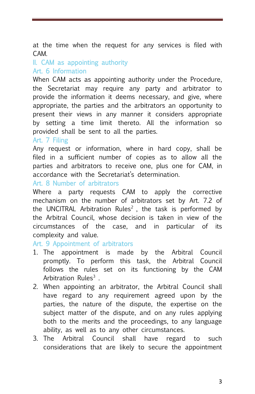at the time when the request for any services is filed with CAM.

# II. CAM as appointing authority Art. 6 Information

When CAM acts as appointing authority under the Procedure, the Secretariat may require any party and arbitrator to provide the information it deems necessary, and give, where appropriate, the parties and the arbitrators an opportunity to present their views in any manner it considers appropriate by setting a time limit thereto. All the information so provided shall be sent to all the parties.

#### Art. 7 Filing

Any request or information, where in hard copy, shall be filed in a sufficient number of copies as to allow all the parties and arbitrators to receive one, plus one for CAM, in accordance with the Secretariat's determination.

## Art. 8 Number of arbitrators

Where a party requests CAM to apply the corrective mechanism on the number of arbitrators set by Art. 7.2 of the UNCITRAL Arbitration Rules<sup>2</sup>, the task is performed by the Arbitral Council, whose decision is taken in view of the circumstances of the case, and in particular of its complexity and value.

## Art. 9 Appointment of arbitrators

- 1. The appointment is made by the Arbitral Council promptly. To perform this task, the Arbitral Council follows the rules set on its functioning by the CAM Arbitration Rules<sup>3</sup>.
- 2. When appointing an arbitrator, the Arbitral Council shall have regard to any requirement agreed upon by the parties, the nature of the dispute, the expertise on the subject matter of the dispute, and on any rules applying both to the merits and the proceedings, to any language ability, as well as to any other circumstances.
- 3. The Arbitral Council shall have regard to such considerations that are likely to secure the appointment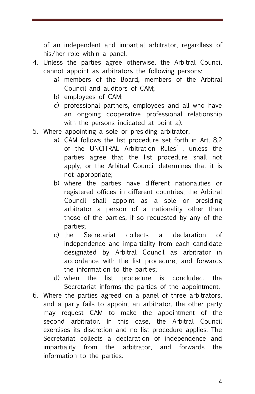of an independent and impartial arbitrator, regardless of his/her role within a panel.

- 4. Unless the parties agree otherwise, the Arbitral Council cannot appoint as arbitrators the following persons:
	- a) members of the Board, members of the Arbitral Council and auditors of CAM;
	- b) employees of CAM;
	- c) professional partners, employees and all who have an ongoing cooperative professional relationship with the persons indicated at point a).
- 5. Where appointing a sole or presiding arbitrator,
	- a) CAM follows the list procedure set forth in Art. 8.2 of the UNCITRAL Arbitration Rules<sup>4</sup>, unless the parties agree that the list procedure shall not apply, or the Arbitral Council determines that it is not appropriate;
	- b) where the parties have different nationalities or registered offices in different countries, the Arbitral Council shall appoint as a sole or presiding arbitrator a person of a nationality other than those of the parties, if so requested by any of the parties;
	- c) the Secretariat collects a declaration of independence and impartiality from each candidate designated by Arbitral Council as arbitrator in accordance with the list procedure, and forwards the information to the parties;
	- d) when the list procedure is concluded, the Secretariat informs the parties of the appointment.
- 6. Where the parties agreed on a panel of three arbitrators, and a party fails to appoint an arbitrator, the other party may request CAM to make the appointment of the second arbitrator. In this case, the Arbitral Council exercises its discretion and no list procedure applies. The Secretariat collects a declaration of independence and impartiality from the arbitrator, and forwards the information to the parties.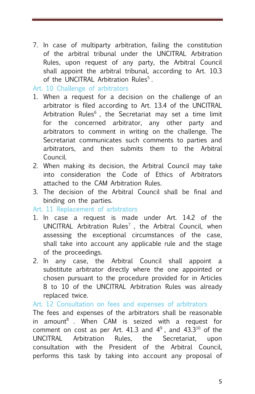7. In case of multiparty arbitration, failing the constitution of the arbitral tribunal under the UNCITRAL Arbitration Rules, upon request of any party, the Arbitral Council shall appoint the arbitral tribunal, according to Art. 10.3 of the UNCITRAL Arbitration Rules<sup>5</sup>.

Art. 10 Challenge of arbitrators

- 1. When a request for a decision on the challenge of an arbitrator is filed according to Art. 13.4 of the UNCITRAL Arbitration Rules $<sup>6</sup>$ . the Secretariat may set a time limit</sup> for the concerned arbitrator, any other party and arbitrators to comment in writing on the challenge. The Secretariat communicates such comments to parties and arbitrators, and then submits them to the Arbitral Council.
- 2. When making its decision, the Arbitral Council may take into consideration the Code of Ethics of Arbitrators attached to the CAM Arbitration Rules.
- 3. The decision of the Arbitral Council shall be final and binding on the parties.

Art. 11 Replacement of arbitrators

- 1. In case a request is made under Art. 14.2 of the UNCITRAL Arbitration Rules<sup>7</sup>, the Arbitral Council, when assessing the exceptional circumstances of the case, shall take into account any applicable rule and the stage of the proceedings.
- 2. In any case, the Arbitral Council shall appoint a substitute arbitrator directly where the one appointed or chosen pursuant to the procedure provided for in Articles 8 to 10 of the UNCITRAL Arbitration Rules was already replaced twice.

## Art. 12 Consultation on fees and expenses of arbitrators

The fees and expenses of the arbitrators shall be reasonable in amount<sup>8</sup>. When CAM is seized with a request for comment on cost as per Art. 41.3 and  $4^9$ , and  $43.3^{10}$  of the UNCITRAL Arbitration Rules, the Secretariat, upon consultation with the President of the Arbitral Council, performs this task by taking into account any proposal of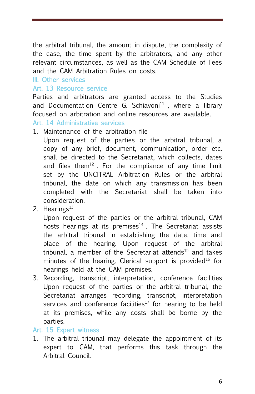the arbitral tribunal, the amount in dispute, the complexity of the case, the time spent by the arbitrators, and any other relevant circumstances, as well as the CAM Schedule of Fees and the CAM Arbitration Rules on costs.

## III. Other services

#### Art. 13 Resource service

Parties and arbitrators are granted access to the Studies and Documentation Centre G. Schiavoni $11$ , where a library focused on arbitration and online resources are available.

#### Art. 14 Administrative services

1. Maintenance of the arbitration file

Upon request of the parties or the arbitral tribunal, a copy of any brief, document, communication, order etc. shall be directed to the Secretariat, which collects, dates and files them<sup>12</sup>. For the compliance of any time limit set by the UNCITRAL Arbitration Rules or the arbitral tribunal, the date on which any transmission has been completed with the Secretariat shall be taken into consideration.

2. Hearings $<sup>13</sup>$ </sup>

Upon request of the parties or the arbitral tribunal, CAM hosts hearings at its premises $14$ . The Secretariat assists the arbitral tribunal in establishing the date, time and place of the hearing. Upon request of the arbitral tribunal, a member of the Secretariat attends<sup>15</sup> and takes minutes of the hearing. Clerical support is provided<sup>16</sup> for hearings held at the CAM premises.

3. Recording, transcript, interpretation, conference facilities Upon request of the parties or the arbitral tribunal, the Secretariat arranges recording, transcript, interpretation services and conference facilities<sup>17</sup> for hearing to be held at its premises, while any costs shall be borne by the parties.

#### Art. 15 Expert witness

1. The arbitral tribunal may delegate the appointment of its expert to CAM, that performs this task through the Arbitral Council.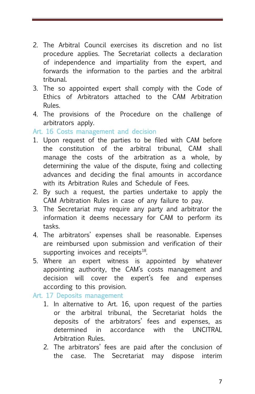- 2. The Arbitral Council exercises its discretion and no list procedure applies. The Secretariat collects a declaration of independence and impartiality from the expert, and forwards the information to the parties and the arbitral tribunal.
- 3. The so appointed expert shall comply with the Code of Ethics of Arbitrators attached to the CAM Arbitration Rules.
- 4. The provisions of the Procedure on the challenge of arbitrators apply.

Art. 16 Costs management and decision

- 1. Upon request of the parties to be filed with CAM before the constitution of the arbitral tribunal, CAM shall manage the costs of the arbitration as a whole, by determining the value of the dispute, fixing and collecting advances and deciding the final amounts in accordance with its Arbitration Rules and Schedule of Fees.
- 2. By such a request, the parties undertake to apply the CAM Arbitration Rules in case of any failure to pay.
- 3. The Secretariat may require any party and arbitrator the information it deems necessary for CAM to perform its tasks.
- 4. The arbitrators' expenses shall be reasonable. Expenses are reimbursed upon submission and verification of their supporting invoices and receipts $^{18}$ .
- 5. Where an expert witness is appointed by whatever appointing authority, the CAM's costs management and decision will cover the expert's fee and expenses according to this provision.

Art. 17 Deposits management

- 1. In alternative to Art. 16, upon request of the parties or the arbitral tribunal, the Secretariat holds the deposits of the arbitrators' fees and expenses, as determined in accordance with the UNCITRAL Arbitration Rules.
- 2. The arbitrators' fees are paid after the conclusion of the case. The Secretariat may dispose interim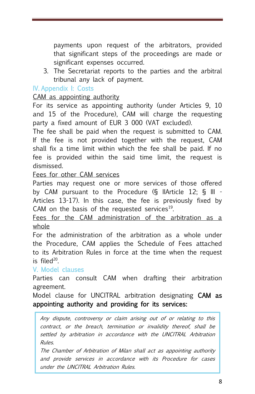payments upon request of the arbitrators, provided that significant steps of the proceedings are made or significant expenses occurred.

3. The Secretariat reports to the parties and the arbitral tribunal any lack of payment.

# IV. Appendix I: Costs

## CAM as appointing authority

For its service as appointing authority (under Articles 9, 10 and 15 of the Procedure), CAM will charge the requesting party a fixed amount of EUR 3 000 (VAT excluded).

The fee shall be paid when the request is submitted to CAM. If the fee is not provided together with the request, CAM shall fix a time limit within which the fee shall be paid. If no fee is provided within the said time limit, the request is dismissed.

#### Fees for other CAM services

Parties may request one or more services of those offered by CAM pursuant to the Procedure (§ IIArticle 12; § III - Articles 13-17). In this case, the fee is previously fixed by CAM on the basis of the requested services<sup>19</sup>.

Fees for the CAM administration of the arbitration as a whole

For the administration of the arbitration as a whole under the Procedure, CAM applies the Schedule of Fees attached to its Arbitration Rules in force at the time when the request is filed<sup>20</sup>.

V. Model clauses

Parties can consult CAM when drafting their arbitration agreement.

Model clause for UNCITRAL arbitration designating CAM as appointing authority and providing for its services:

Any dispute, controversy or claim arising out of or relating to this contract, or the breach, termination or invalidity thereof, shall be settled by arbitration in accordance with the UNCITRAL Arbitration Rules.

The Chamber of Arbitration of Milan shall act as appointing authority and provide services in accordance with its Procedure for cases under the UNCITRAL Arbitration Rules.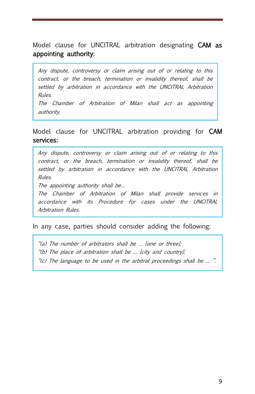Model clause for UNCITRAL arbitration designating CAM as appointing authority:

Any dispute, controversy or claim arising out of or relating to this contract, or the breach, termination or invalidity thereof, shall be settled by arbitration in accordance with the UNCITRAL Arbitration Rules. The Chamber of Arbitration of Milan shall act as appointing

authority.

## Model clause for UNCITRAL arbitration providing for CAM services:

Any dispute, controversy or claim arising out of or relating to this contract, or the breach, termination or invalidity thereof, shall be settled by arbitration in accordance with the UNCITRAL Arbitration Rules.

The appointing authority shall be...

The Chamber of Arbitration of Milan shall provide services in accordance with its Procedure for cases under the UNCITRAL Arbitration Rules.

In any case, parties should consider adding the following:

"(a) The number of arbitrators shall be … [one or three];

"(b) The place of arbitration shall be … [city and country];

"(c) The language to be used in the arbitral proceedings shall be … ".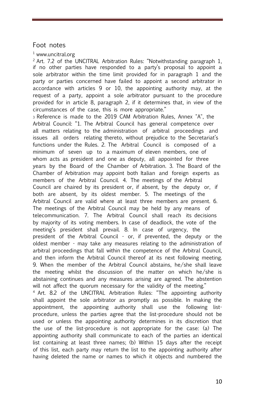#### Foot notes

 $1$  www.uncitral.org

 $2$ Art. 7.2 of the UNCITRAL Arbitration Rules: "Notwithstanding paragraph 1, if no other parties have responded to a party's proposal to appoint a sole arbitrator within the time limit provided for in paragraph 1 and the party or parties concerned have failed to appoint a second arbitrator in accordance with articles 9 or 10, the appointing authority may, at the request of a party, appoint a sole arbitrator pursuant to the procedure provided for in article 8, paragraph 2, if it determines that, in view of the circumstances of the case, this is more appropriate."

<sup>3</sup>Reference is made to the 2019 CAM Arbitration Rules, Annex "A", the Arbitral Council: "1. The Arbitral Council has general competence over all matters relating to the administration of arbitral proceedings and issues all orders relating thereto, without prejudice to the Secretariat's functions under the Rules. 2. The Arbitral Council is composed of a minimum of seven up to a maximum of eleven members, one of whom acts as president and one as deputy, all appointed for three years by the Board of the Chamber of Arbitration. 3. The Board of the Chamber of Arbitration may appoint both Italian and foreign experts as members of the Arbitral Council. 4. The meetings of the Arbitral Council are chaired by its president or, if absent, by the deputy or, if both are absent, by its oldest member. 5. The meetings of the Arbitral Council are valid where at least three members are present. 6. The meetings of the Arbitral Council may be held by any means of telecommunication. 7. The Arbitral Council shall reach its decisions by majority of its voting members. In case of deadlock, the vote of the meeting's president shall prevail. 8. In case of urgency, the president of the Arbitral Council - or, if prevented, the deputy or the oldest member - may take any measures relating to the administration of arbitral proceedings that fall within the competence of the Arbitral Council, and then inform the Arbitral Council thereof at its next following meeting. 9. When the member of the Arbitral Council abstains, he/she shall leave the meeting whilst the discussion of the matter on which he/she is abstaining continues and any measures arising are agreed. The abstention will not affect the quorum necessary for the validity of the meeting."

<sup>4</sup> Art. 8.2 of the UNCITRAL Arbitration Rules: "The appointing authority shall appoint the sole arbitrator as promptly as possible. In making the appointment, the appointing authority shall use the following listprocedure, unless the parties agree that the list-procedure should not be used or unless the appointing authority determines in its discretion that the use of the list-procedure is not appropriate for the case: (a) The appointing authority shall communicate to each of the parties an identical list containing at least three names; (b) Within 15 days after the receipt of this list, each party may return the list to the appointing authority after having deleted the name or names to which it objects and numbered the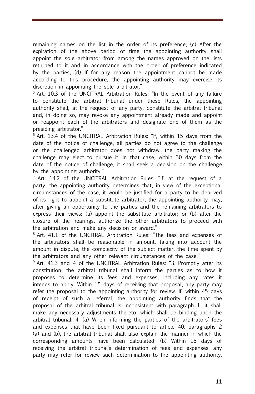remaining names on the list in the order of its preference; (c) After the expiration of the above period of time the appointing authority shall appoint the sole arbitrator from among the names approved on the lists returned to it and in accordance with the order of preference indicated by the parties; (d) If for any reason the appointment cannot be made according to this procedure, the appointing authority may exercise its discretion in appointing the sole arbitrator."

<sup>5</sup> Art. 10.3 of the UNCITRAL Arbitration Rules: "In the event of any failure to constitute the arbitral tribunal under these Rules, the appointing authority shall, at the request of any party, constitute the arbitral tribunal and, in doing so, may revoke any appointment already made and appoint or reappoint each of the arbitrators and designate one of them as the presiding arbitrator."

 $6$  Art. 13.4 of the UNCITRAL Arbitration Rules: "If, within 15 days from the date of the notice of challenge, all parties do not agree to the challenge or the challenged arbitrator does not withdraw, the party making the challenge may elect to pursue it. In that case, within 30 days from the date of the notice of challenge, it shall seek a decision on the challenge by the appointing authority."

 $7$  Art. 14.2 of the UNCITRAL Arbitration Rules: "If, at the request of a party, the appointing authority determines that, in view of the exceptional circumstances of the case, it would be justified for a party to be deprived of its right to appoint a substitute arbitrator, the appointing authority may, after giving an opportunity to the parties and the remaining arbitrators to express their views: (a) appoint the substitute arbitrator; or (b) after the closure of the hearings, authorize the other arbitrators to proceed with the arbitration and make any decision or award."

<sup>8</sup> Art. 41.1 of the UNCITRAL Arbitration Rules: "The fees and expenses of the arbitrators shall be reasonable in amount, taking into account the amount in dispute, the complexity of the subject matter, the time spent by the arbitrators and any other relevant circumstances of the case."

<sup>9</sup> Art. 41.3 and 4 of the UNCITRAL Arbitration Rules: "3. Promptly after its constitution, the arbitral tribunal shall inform the parties as to how it proposes to determine its fees and expenses, including any rates it intends to apply. Within 15 days of receiving that proposal, any party may refer the proposal to the appointing authority for review. If, within 45 days of receipt of such a referral, the appointing authority finds that the proposal of the arbitral tribunal is inconsistent with paragraph 1, it shall make any necessary adjustments thereto, which shall be binding upon the arbitral tribunal. 4. (a) When informing the parties of the arbitrators' fees and expenses that have been fixed pursuant to article 40, paragraphs 2 (a) and (b), the arbitral tribunal shall also explain the manner in which the corresponding amounts have been calculated; (b) Within 15 days of receiving the arbitral tribunal's determination of fees and expenses, any party may refer for review such determination to the appointing authority.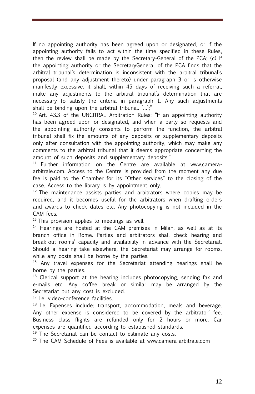If no appointing authority has been agreed upon or designated, or if the appointing authority fails to act within the time specified in these Rules, then the review shall be made by the Secretary-General of the PCA; (c) If the appointing authority or the SecretaryGeneral of the PCA finds that the arbitral tribunal's determination is inconsistent with the arbitral tribunal's proposal (and any adjustment thereto) under paragraph 3 or is otherwise manifestly excessive, it shall, within 45 days of receiving such a referral, make any adjustments to the arbitral tribunal's determination that are necessary to satisfy the criteria in paragraph 1. Any such adjustments shall be binding upon the arbitral tribunal. […];"

 $10$  Art. 43.3 of the UNCITRAL Arbitration Rules: "If an appointing authority has been agreed upon or designated, and when a party so requests and the appointing authority consents to perform the function, the arbitral tribunal shall fix the amounts of any deposits or supplementary deposits only after consultation with the appointing authority, which may make any comments to the arbitral tribunal that it deems appropriate concerning the amount of such deposits and supplementary deposits."

 $11$  Further information on the Centre are available at www.cameraarbitrale.com. Access to the Centre is provided from the moment any due fee is paid to the Chamber for its "Other services" to the closing of the case. Access to the library is by appointment only.

 $12$  The maintenance assists parties and arbitrators where copies may be required, and it becomes useful for the arbitrators when drafting orders and awards to check dates etc. Any photocopying is not included in the CAM fees.

 $13$  This provision applies to meetings as well.

 $14$  Hearings are hosted at the CAM premises in Milan, as well as at its branch office in Rome. Parties and arbitrators shall check hearing and break-out rooms' capacity and availability in advance with the Secretariat. Should a hearing take elsewhere, the Secretariat may arrange for rooms, while any costs shall be borne by the parties.

 $15$  Any travel expenses for the Secretariat attending hearings shall be borne by the parties.

<sup>16</sup> Clerical support at the hearing includes photocopying, sending fax and e-mails etc. Any coffee break or similar may be arranged by the Secretariat but any cost is excluded.

<sup>17</sup> I.e. video-conference facilities.

 $18$  I.e. Expenses include: transport, accommodation, meals and beverage. Any other expense is considered to be covered by the arbitrator' fee. Business class flights are refunded only for 2 hours or more. Car expenses are quantified according to established standards.

 $19$  The Secretariat can be contact to estimate any costs.

<sup>20</sup> The CAM Schedule of Fees is available at www.camera-arbitrale.com